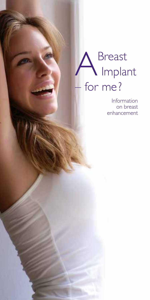## A Breast Implant – for me ?

Information on breast enhancement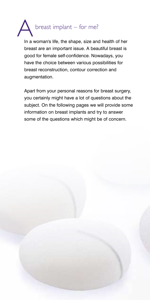

In a woman's life, the shape, size and health of her breast are an important issue. A beautiful breast is good for female self-confidence. Nowadays, you have the choice between various possibilities for breast reconstruction, contour correction and augmentation.

Apart from your personal reasons for breast surgery, you certainly might have a lot of questions about the subject. On the following pages we will provide some information on breast implants and try to answer some of the questions which might be of concern.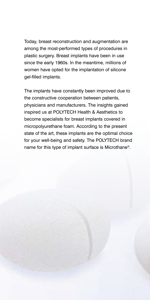Today, breast reconstruction and augmentation are among the most-performed types of procedures in plastic surgery. Breast implants have been in use since the early 1960s. In the meantime, millions of women have opted for the implantation of silicone gel-filled implants.

The implants have constantly been improved due to the constructive cooperation between patients, physicians and manufacturers. The insights gained inspired us at POLYTECH Health & Aesthetics to become specialists for breast implants covered in micropolyurethane foam. According to the present state of the art, these implants are the optimal choice for your well-being and safety. The POLYTECH brand name for this type of implant surface is Microthane®.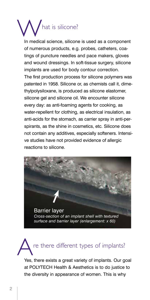# hat is silicone?

In medical science, silicone is used as a component of numerous products, e.g. probes, catheters, coatings of puncture needles and pace makers, gloves and wound dressings. In soft-tissue surgery, silicone implants are used for body contour correction. The first production process for silicone polymers was patented in 1958. Silicone or, as chemists call it, dimethylpolysiloxane, is produced as silicone elastomer, silicone gel and silicone oil. We encounter silicone every day: as anti-foaming agents for cooking, as water-repellent for clothing, as electrical insulation, as anti-acids for the stomach, as carrier spray in anti-perspirants, as the shine in cosmetics, etc. Silicone does not contain any additives, especially softeners. Intensive studies have not provided evidence of allergic reactions to silicone.





Yes, there exists a great variety of implants. Our goal at POLYTECH Health & Aesthetics is to do justice to the diversity in appearance of women. This is why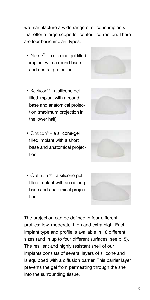we manufacture a wide range of silicone implants that offer a large scope for contour correction. There are four basic implant types:

- Même® a silicone-gel filled implant with a round base and central projection
- Replicon $^{\circledR}$  a silicone-gel filled implant with a round base and anatomical projection (maximum projection in the lower half)
- Opticon<sup>®</sup> a silicone-gel filled implant with a short base and anatomical projection





• Optimam® – a silicone-gel filled implant with an oblong base and anatomical projection



The projection can be defined in four different profiles: low, moderate, high and extra high. Each implant type and profile is available in 18 different sizes (and in up to four different surfaces, see p. 5). The resilient and highly resistant shell of our implants consists of several layers of silicone and is equipped with a diffusion barrier. This barrier layer prevents the gel from permeating through the shell into the surrounding tissue.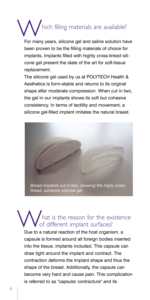### hich filling materials are available? I

For many years, silicone gel and saline solution have been proven to be the filling materials of choice for implants. Implants filled with highly cross-linked silicone gel present the state of the art for soft-tissue replacement.

The silicone gel used by us at POLYTECH Health & Aesthetics is form-stable and returns to its original shape after moderate compression. When cut in two, the gel in our implants shows its soft but cohesive consistency. In terms of tactility and movement, a silicone gel-filled implant imitates the natural breast.



### hat is the reason for the existence of different implant surfaces?

Due to a natural reaction of the host organism, a capsule is formed around all foreign bodies inserted into the tissue, implants included. This capsule can draw tight around the implant and contract. The contraction deforms the implant shape and thus the shape of the breast. Additionally, the capsule can become very hard and cause pain. This complication is referred to as "capsular contracture" and its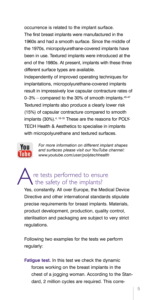occurrence is related to the implant surface. The first breast implants were manufactured in the 1960s and had a smooth surface. Since the middle of the 1970s, micropolyurethane-covered implants have been in use. Textured implants were introduced at the end of the 1980s. At present, implants with these three different surface types are available.

Independently of improved operating techniques for implantations, micropolyurethane-covered implants result in impressively low capsular contracture rates of  $0-3%$  – compared to the 30% of smooth implants.  $45-47$ Textured implants also produce a clearly lower risk (15%) of capsular contracture compared to smooth implants (30%).<sup>4, 16-18</sup> These are the reasons for POLY-TECH Health & Aesthetics to specialise in implants with micropolyurethane and textured surfaces.



*For more information on different implant shapes and surfaces please visit our YouTube channel: www.youtube.com/user/polytechhealth*

#### re tests performed to ensure the safety of the implants?

Yes, constantly. All over Europe, the Medical Device Directive and other international standards stipulate precise requirements for breast implants. Materials, product development, production, quality control, sterilisation and packaging are subject to very strict regulations.

Following two examples for the tests we perform regularly:

**Fatigue test.** In this test we check the dynamic forces working on the breast implants in the chest of a jogging woman. According to the Standard, 2 million cycles are required. This corre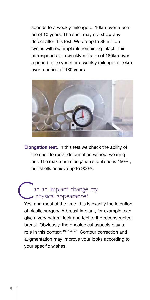sponds to a weekly mileage of 10km over a period of 10 years. The shell may not show any defect after this test. We do up to 36 million cycles with our implants remaining intact. This corresponds to a weekly mileage of 180km over a period of 10 years or a weekly mileage of 10km over a period of 180 years.



**Elongation test.** In this test we check the ability of the shell to resist deformation without wearing out. The maximum elongation stipulated is 450% , our shells achieve up to 900%.

#### an an implant change my physical appearance?

Yes, and most of the time, this is exactly the intention of plastic surgery. A breast implant, for example, can give a very natural look and feel to the reconstructed breast. Obviously, the oncological aspects play a role in this context.19-21,48,49 Contour correction and augmentation may improve your looks according to your specific wishes.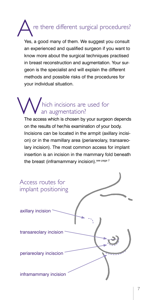# re there different surgical procedures?

Yes, a good many of them. We suggest you consult an experienced and qualified surgeon if you want to know more about the surgical techniques practised in breast reconstruction and augmentation. Your surgeon is the specialist and will explain the different methods and possible risks of the procedures for your individual situation.

### hich incisions are used for an augmentation?

The access which is chosen by your surgeon depends on the results of her/his examination of your body. Incisions can be located in the armpit (axillary incision) or in the mamillary area (periareolary, transareolary incision). The most common access for implant insertion is an incision in the mammary fold beneath the breast (inframammary incision). see page 7

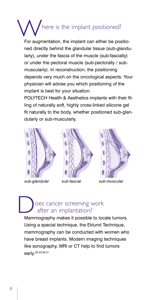# where is the implant positioned?

For augmentation, the implant can either be positioned directly behind the glandular tissue (sub-glandularly), under the fascia of the muscle (sub-fascially) or under the pectoral muscle (sub-pectorally / submuscularly). In reconstruction, the positioning depends very much on the oncological aspects. Your physician will advise you which positioning of the implant is best for your situation.

POLYTECH Health & Aesthetics implants with their filling of naturally soft, highly cross-linked silicone gel fit naturally to the body, whether positioned sub-glandularly or sub-muscularly.



*sub-glandular sub-fascial sub-muscular*



#### oes cancer screening work after an implantation?

Mammography makes it possible to locate tumors. Using a special technique, the Eklund Technique, mammography can be conducted with women who have breast implants. Modern imaging techniques like sonography, MRI or CT help to find tumors early.<sup>22-24,50,51</sup>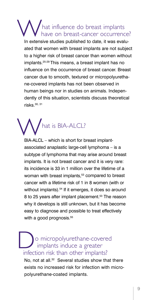#### hat influence do breast implants have on breast-cancer occurrence?

In extensive studies published to date, it was evaluated that women with breast implants are not subject to a higher risk of breast cancer than women without implants.25-29 This means, a breast implant has no influence on the occurrence of breast cancer. Breast cancer due to smooth, textured or micropolyurethane-covered implants has not been observed in human beings nor in studies on animals. Independently of this situation, scientists discuss theoretical risks $30, 31$ 



BIA-ALCL – which is short for breast implantassociated anaplastic large-cell lymphoma – is a subtype of lymphoma that may arise around breast implants. It is not breast cancer and it is very rare: its incidence is 33 in 1 million over the lifetime of a woman with breast implants,<sup>53</sup> compared to breast cancer with a lifetime risk of 1 in 8 women (with or without implants).<sup>54</sup> If it emerges, it does so around 8 to 25 years after implant placement.<sup>53</sup> The reason why it develops is still unknown, but it has become easy to diagnose and possible to treat effectively with a good prognosis.<sup>55</sup>

O micropolyurethane-covered<br>
implants induce a greater<br>
infection risk than other implants? implants induce a greater infection risk than other implants? No, not at all.<sup>32</sup> Several studies show that there

exists no increased risk for infection with micropolyurethane-coated implants.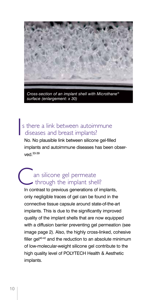

*Cross-section of an implant shell with Microthane® surface (enlargement: x 30)*

#### In the second control of the second control of the second control of the second control of the second control of the second control of the second control of the second control of the second control of the second control of s there a link between autoimmune diseases and breast implants?

No. No plausible link between silicone gel-filled implants and autoimmune diseases has been observed 33-39

#### an silicone gel permeate through the implant shell?

In contrast to previous generations of implants, only negligible traces of gel can be found in the connective tissue capsule around state-of-the-art implants. This is due to the significantly improved quality of the implant shells that are now equipped with a diffusion barrier preventing gel permeation (see image page 2). Also, the highly cross-linked, cohesive filler gel<sup>40-42</sup> and the reduction to an absolute minimum of low-molecular-weight silicone gel contribute to the high quality level of POLYTECH Health & Aesthetic implants.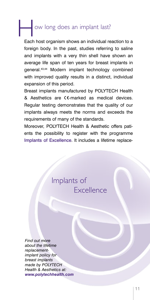# Now long does an implant last?

Each host organism shows an individual reaction to a foreign body. In the past, studies referring to saline and implants with a very thin shell have shown an average life span of ten years for breast implants in general.43,44 Modern implant technology combined with improved quality results in a distinct, individual expansion of this period.

Breast implants manufactured by POLYTECH Health  $&$  Aesthetics are  $<$ -marked as medical devices. Regular testing demonstrates that the quality of our implants always meets the norms and exceeds the requirements of many of the standards.

Moreover, POLYTECH Health & Aesthetic offers patients the possibility to register with the programme Implants of Excellence. It includes a lifetime replace-

### Implants of Excellence

*Find out more about the lifetime replacementimplant policy for breast implants made by POLYTECH Health & Aesthetics at: www.polytechhealth.com*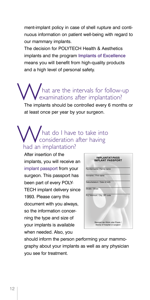ment-implant policy in case of shell rupture and continuous information on patient well-being with regard to our mammary implants.

The decision for POLYTECH Health & Aesthetics implants and the program Implants of Excellence means you will benefit from high-quality products and a high level of personal safety.

## What are the intervals for follow-up<br>Examinations after implantation? examinations after implantation?

The implants should be controlled every 6 months or at least once per year by your surgeon.

#### What do I have to take into<br>
bad an implantation?  $\mathsf{V}$   $\mathsf{V}$  consideration after having had an implantation?

After insertion of the implants, you will receive an implant passport from your surgeon. This passport has been part of every POLY-TECH implant delivery since 1993. Please carry this document with you always, so the information concerning the type and size of your implants is available when needed. Also, you gen untersuchungen auf vorhandene Implantate hin! Kontrollen sind unumgänglich, gegebenenfalls radiologist about your implant! Implantatpass dt-engl.indd 1 04.06.2013 10:55:56



should inform the person performing your mammography about your implants as well as any physician you see for treatment.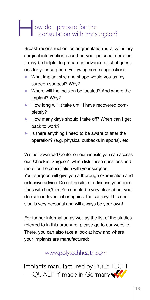## ow do I prepare for the consultation with my su consultation with my surgeon?

Breast reconstruction or augmentation is a voluntary surgical intervention based on your personal decision. It may be helpful to prepare in advance a list of questions for your surgeon. Following some suggestions:

- What implant size and shape would you as my surgeon suggest? Why?
- ▶ Where will the incision be located? And where the implant? Why?
- How long will it take until I have recovered completely?
- How many days should I take off? When can I get back to work?
- $\blacktriangleright$  Is there anything I need to be aware of after the operation? (e.g. physical cutbacks in sports), etc.

Via the Download Center on our website you can access our "Checklist Surgeon", which lists these questions and more for the consultation with your surgeon.

Your surgeon will give you a thorough examination and extensive advice. Do not hesitate to discuss your questions with her/him. You should be very clear about your decision in favour of or against the surgery. This decision is very personal and will always be your own!

For further information as well as the list of the studies referred to in this brochure, please go to our website. There, you can also take a look at how and where your implants are manufactured:

#### www.polytechhealth.com

Implants manufactured by POLYTECH<br>
— QUALITY made in Germany